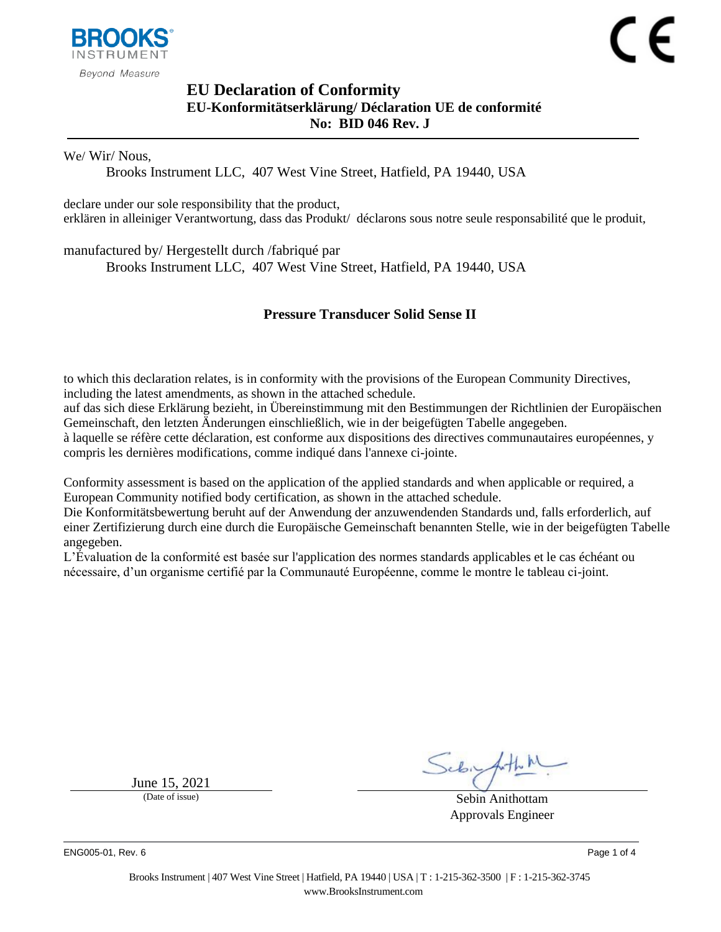

# <span id="page-0-1"></span><span id="page-0-0"></span>**EU Declaration of Conformity EU-Konformitätserklärung/ Déclaration UE de conformité No: BID 046 Rev. J**

We/ Wir/ Nous,

Brooks Instrument LLC, 407 West Vine Street, Hatfield, PA 19440, USA

declare under our sole responsibility that the product, erklären in alleiniger Verantwortung, dass das Produkt/ déclarons sous notre seule responsabilité que le produit,

manufactured by/ Hergestellt durch /fabriqué par

Brooks Instrument LLC, 407 West Vine Street, Hatfield, PA 19440, USA

## <span id="page-0-2"></span>**Pressure Transducer Solid Sense II**

to which this declaration relates, is in conformity with the provisions of the European Community Directives, including the latest amendments, as shown in the attached schedule.

auf das sich diese Erklärung bezieht, in Übereinstimmung mit den Bestimmungen der Richtlinien der Europäischen Gemeinschaft, den letzten Änderungen einschließlich, wie in der beigefügten Tabelle angegeben.

à laquelle se réfère cette déclaration, est conforme aux dispositions des directives communautaires européennes, y compris les dernières modifications, comme indiqué dans l'annexe ci-jointe.

Conformity assessment is based on the application of the applied standards and when applicable or required, a European Community notified body certification, as shown in the attached schedule.

Die Konformitätsbewertung beruht auf der Anwendung der anzuwendenden Standards und, falls erforderlich, auf einer Zertifizierung durch eine durch die Europäische Gemeinschaft benannten Stelle, wie in der beigefügten Tabelle angegeben.

L'Évaluation de la conformité est basée sur l'application des normes standards applicables et le cas échéant ou nécessaire, d'un organisme certifié par la Communauté Européenne, comme le montre le tableau ci-joint.

June  $15, 2021$ <br>(Date of issue)

Sebin Anithottam Approvals Engineer

ENG005-01, Rev. 6 Page 1 of 4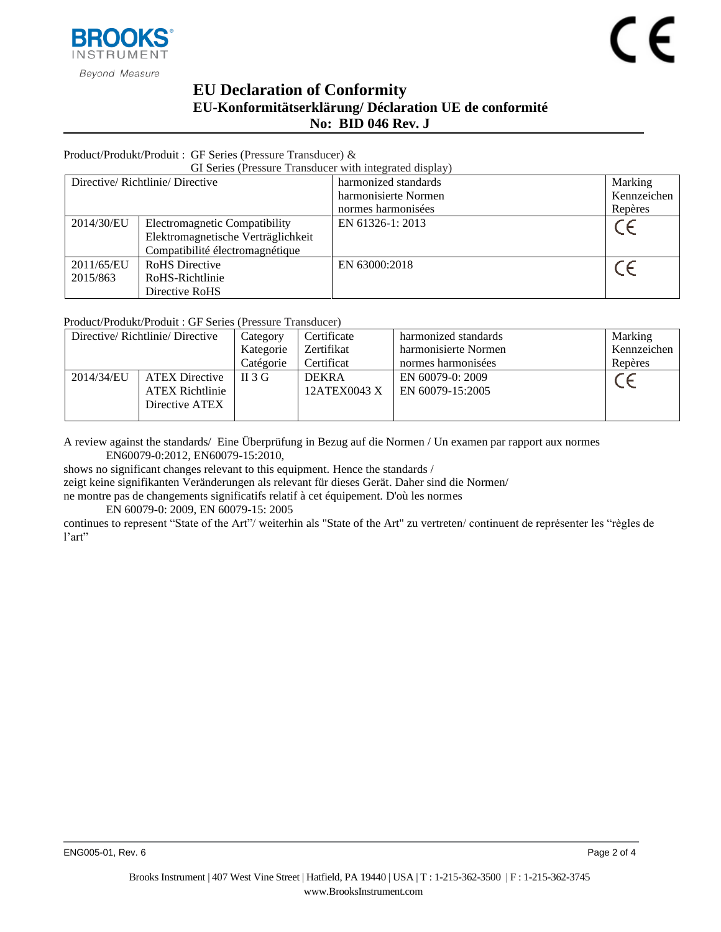

# **EU Declaration of Conformity EU-Konformitätserklärung/ Déclaration UE de conformité No: BID [046](#page-0-0) Rev. [J](#page-0-1)**

### Product/Produkt/Produit : GF Series (Pressure Transducer) &

GI Series (Pressure Transducer with integrated display)

| Directive/Richtlinie/Directive |                                    | harmonized standards | Marking     |
|--------------------------------|------------------------------------|----------------------|-------------|
|                                |                                    | harmonisierte Normen | Kennzeichen |
|                                |                                    | normes harmonisées   | Repères     |
| 2014/30/EU                     | Electromagnetic Compatibility      | EN 61326-1: 2013     |             |
|                                | Elektromagnetische Verträglichkeit |                      |             |
|                                | Compatibilité électromagnétique    |                      |             |
| 2011/65/EU                     | <b>RoHS</b> Directive              | EN 63000:2018        |             |
| 2015/863                       | RoHS-Richtlinie                    |                      |             |
|                                | Directive RoHS                     |                      |             |

Product/Produkt/Produit : GF Series (Pressure Transducer)

| Directive/Richtlinie/Directive |                        | Category  | Certificate  | harmonized standards | Marking     |
|--------------------------------|------------------------|-----------|--------------|----------------------|-------------|
|                                |                        | Kategorie | Zertifikat   | harmonisierte Normen | Kennzeichen |
|                                |                        | Catégorie | Certificat   | normes harmonisées   | Repères     |
| 2014/34/EU                     | <b>ATEX Directive</b>  | $\Pi$ 3 G | <b>DEKRA</b> | EN 60079-0: 2009     |             |
|                                | <b>ATEX Richtlinie</b> |           | 12ATEX0043 X | EN 60079-15:2005     |             |
|                                | Directive ATEX         |           |              |                      |             |
|                                |                        |           |              |                      |             |

A review against the standards/ Eine Überprüfung in Bezug auf die Normen / Un examen par rapport aux normes EN60079-0:2012, EN60079-15:2010,

shows no significant changes relevant to this equipment. Hence the standards /

zeigt keine signifikanten Veränderungen als relevant für dieses Gerät. Daher sind die Normen/

ne montre pas de changements significatifs relatif à cet équipement. D'où les normes

EN 60079-0: 2009, EN 60079-15: 2005

continues to represent "State of the Art"/ weiterhin als "State of the Art" zu vertreten/ continuent de représenter les "règles de l'art"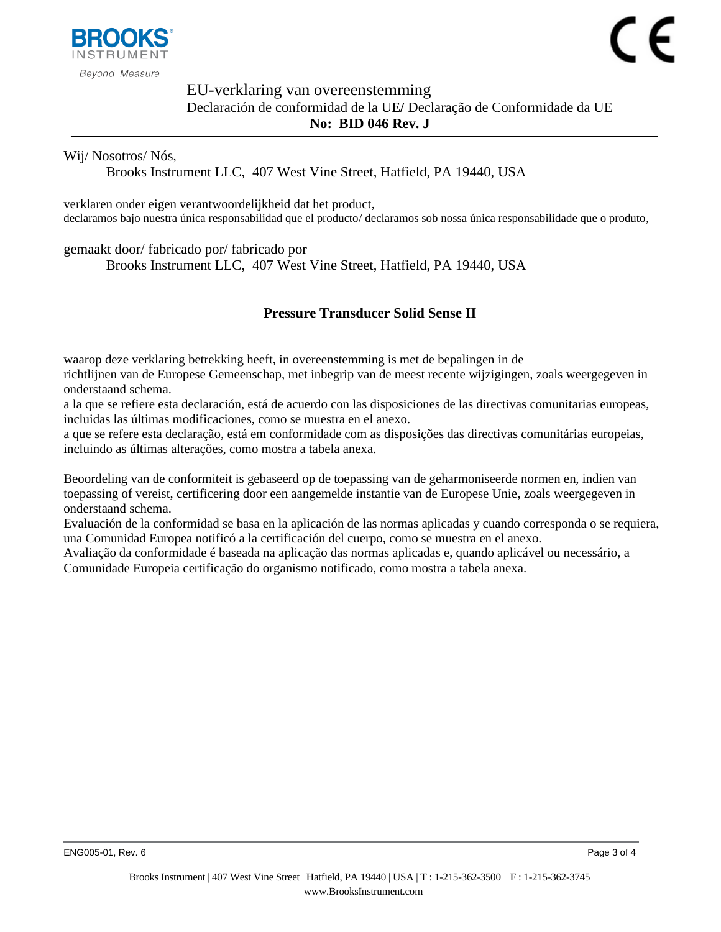

 $\epsilon$ 

**Beyond Measure** 

## EU-verklaring van overeenstemming Declaración de conformidad de la UE**/** Declaração de Conformidade da UE **No: BID [046](#page-0-0) Rev. [J](#page-0-1)**

### Wij/ Nosotros/ Nós,

Brooks Instrument LLC, 407 West Vine Street, Hatfield, PA 19440, USA

verklaren onder eigen verantwoordelijkheid dat het product, declaramos bajo nuestra única responsabilidad que el producto/ declaramos sob nossa única responsabilidade que o produto,

gemaakt door/ fabricado por/ fabricado por

Brooks Instrument LLC, 407 West Vine Street, Hatfield, PA 19440, USA

## **[Pressure Transducer Solid Sense II](#page-0-2)**

waarop deze verklaring betrekking heeft, in overeenstemming is met de bepalingen in de richtlijnen van de Europese Gemeenschap, met inbegrip van de meest recente wijzigingen, zoals weergegeven in onderstaand schema.

a la que se refiere esta declaración, está de acuerdo con las disposiciones de las directivas comunitarias europeas, incluidas las últimas modificaciones, como se muestra en el anexo.

a que se refere esta declaração, está em conformidade com as disposições das directivas comunitárias europeias, incluindo as últimas alterações, como mostra a tabela anexa.

Beoordeling van de conformiteit is gebaseerd op de toepassing van de geharmoniseerde normen en, indien van toepassing of vereist, certificering door een aangemelde instantie van de Europese Unie, zoals weergegeven in onderstaand schema.

Evaluación de la conformidad se basa en la aplicación de las normas aplicadas y cuando corresponda o se requiera, una Comunidad Europea notificó a la certificación del cuerpo, como se muestra en el anexo.

Avaliação da conformidade é baseada na aplicação das normas aplicadas e, quando aplicável ou necessário, a Comunidade Europeia certificação do organismo notificado, como mostra a tabela anexa.